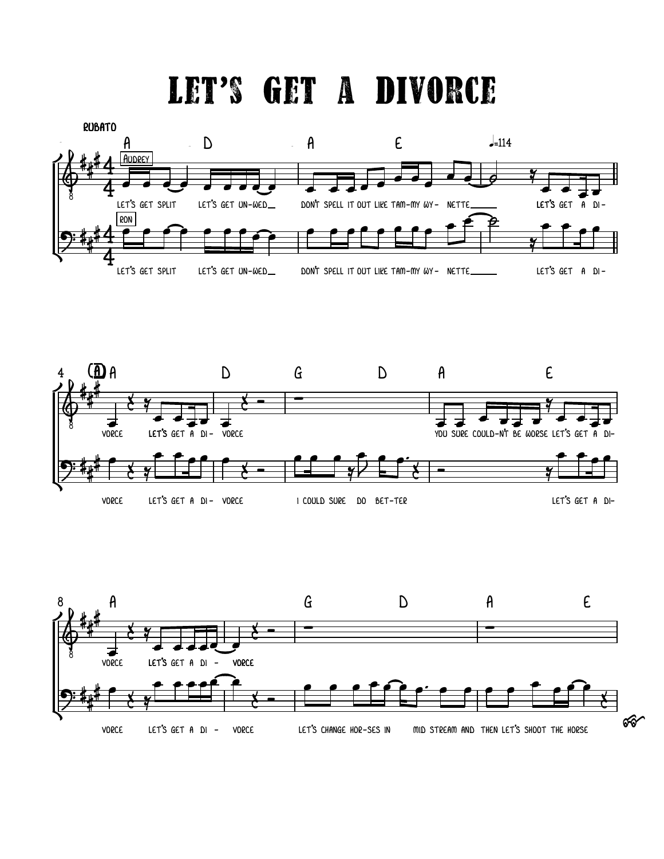## let's get a divorce





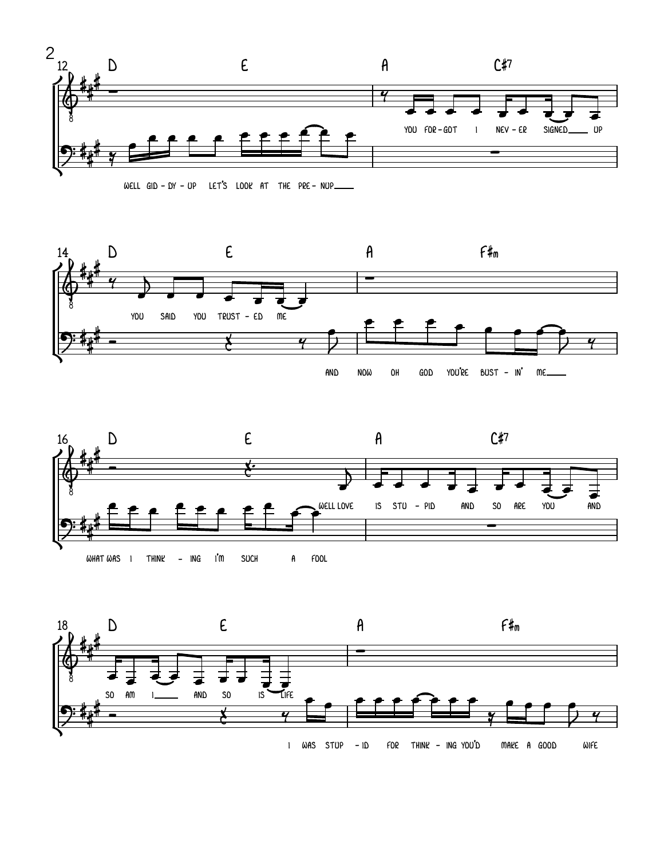







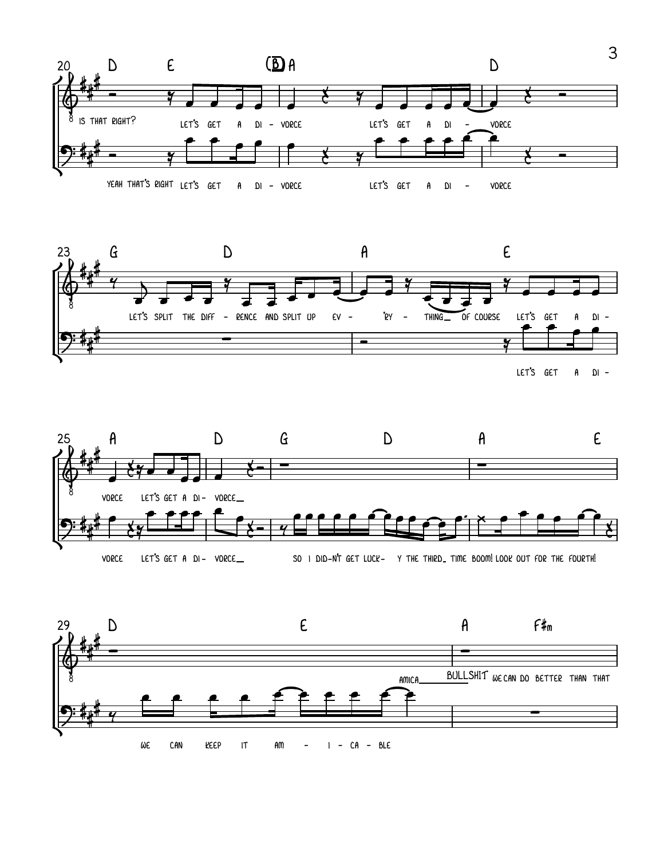





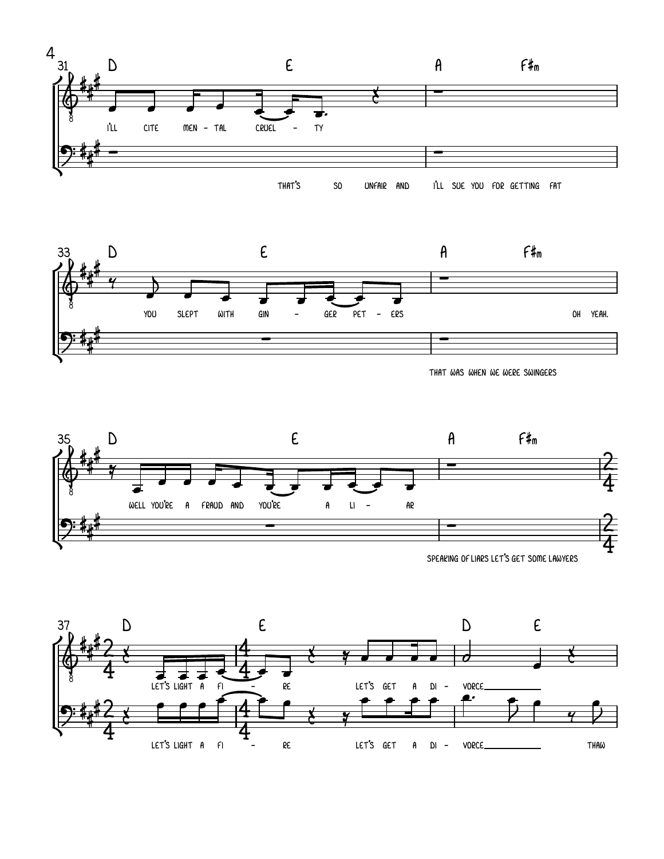



THAT WAS WHEN WE WERE SWINGERS





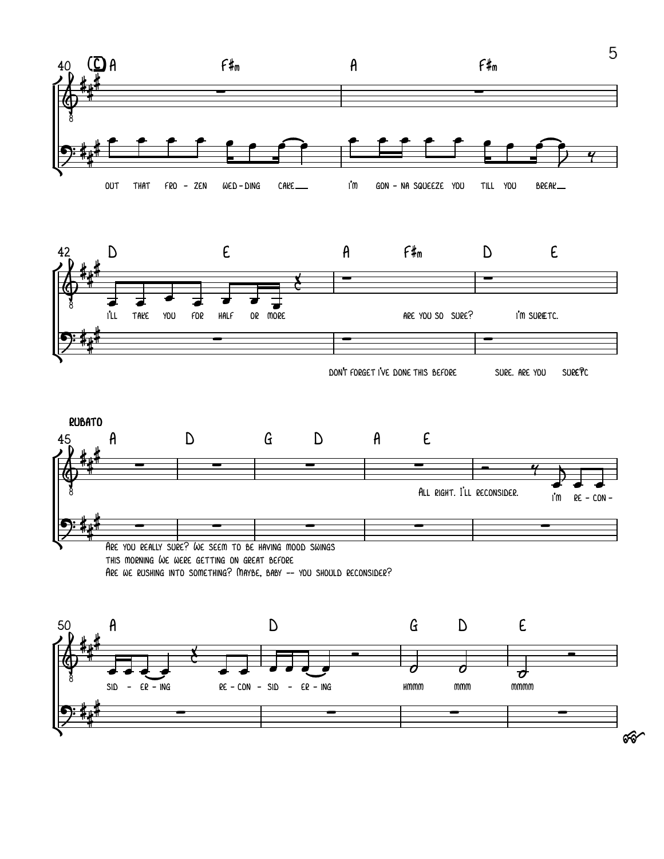

ର୍ଚ୍ଚ